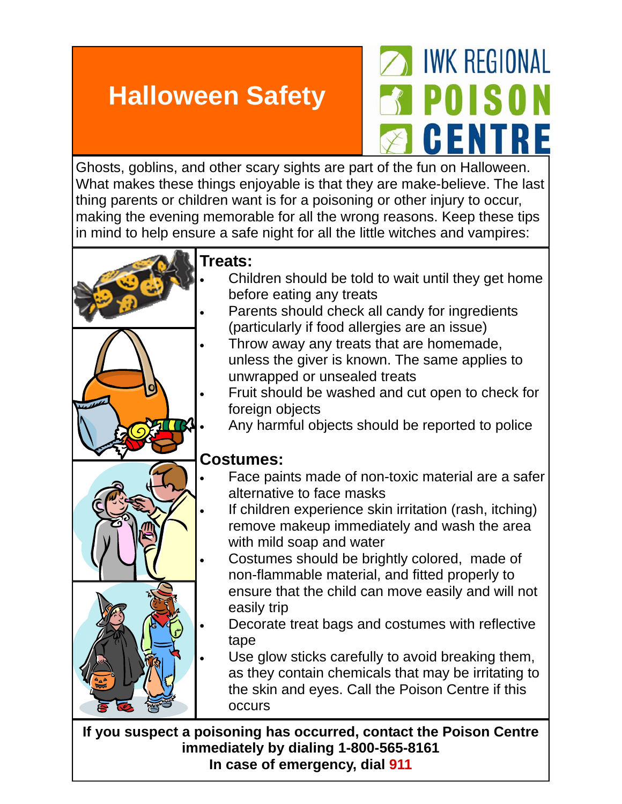## **Halloween Safety**

## *IWK REGIONAL* **POISON** GENTRE

Ghosts, goblins, and other scary sights are part of the fun on Halloween. What makes these things enjoyable is that they are make-believe. The last thing parents or children want is for a poisoning or other injury to occur, making the evening memorable for all the wrong reasons. Keep these tips in mind to help ensure a safe night for all the little witches and vampires:



**If you suspect a poisoning has occurred, contact the Poison Centre immediately by dialing 1-800-565-8161 In case of emergency, dial 911**